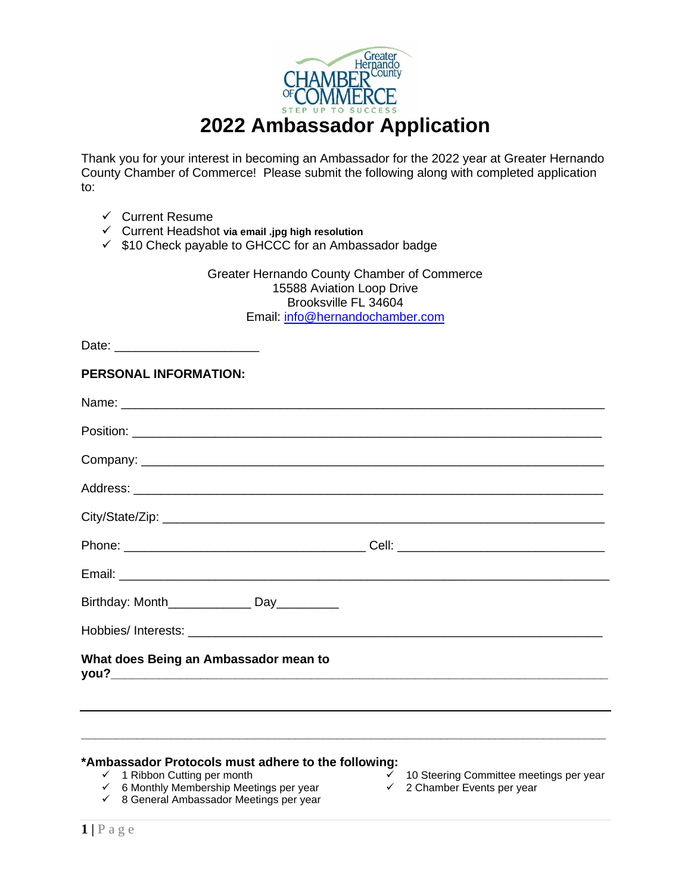

Thank you for your interest in becoming an Ambassador for the 2022 year at Greater Hernando County Chamber of Commerce! Please submit the following along with completed application to:

- ✓ Current Resume
- ✓ Current Headshot **via email .jpg high resolution**
- ✓ \$10 Check payable to GHCCC for an Ambassador badge

Greater Hernando County Chamber of Commerce 15588 Aviation Loop Drive Brooksville FL 34604 Email: [info@hernandochamber.com](mailto:info@hernandochamber.com)

| Date: __________________________               |  |
|------------------------------------------------|--|
| PERSONAL INFORMATION:                          |  |
|                                                |  |
|                                                |  |
|                                                |  |
|                                                |  |
|                                                |  |
|                                                |  |
|                                                |  |
| Birthday: Month_________________ Day__________ |  |
|                                                |  |
| What does Being an Ambassador mean to          |  |
|                                                |  |
|                                                |  |

**\_\_\_\_\_\_\_\_\_\_\_\_\_\_\_\_\_\_\_\_\_\_\_\_\_\_\_\_\_\_\_\_\_\_\_\_\_\_\_\_\_\_\_\_\_\_\_\_\_\_\_\_\_\_\_\_\_\_\_\_\_\_\_\_\_\_\_\_\_\_\_\_\_\_\_\_**

## **\*Ambassador Protocols must adhere to the following:**

✓ 1 Ribbon Cutting per month

- 10 Steering Committee meetings per year
- ✓ 2 Chamber Events per year
- $<$  6 Monthly Membership Meetings per year ✓ 8 General Ambassador Meetings per year